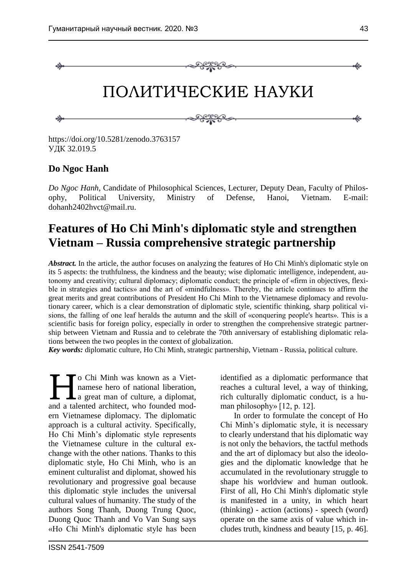

https://doi.org/10.5281/zenodo.3763157 УДК 32.019.5

## **Do Ngoc Hanh**

*Do Ngoc Hanh*, Candidate of Philosophical Sciences, Lecturer, Deputy Dean, Faculty of Philosophy, Political University, Ministry of Defense, Hanoi, Vietnam. E-mail: dohanh2402hvct@mail.ru.

# **Features of Ho Chi Minh's diplomatic style and strengthen Vietnam – Russia comprehensive strategic partnership**

*Abstract.* In the article, the author focuses on analyzing the features of Ho Chi Minh's diplomatic style on its 5 aspects: the truthfulness, the kindness and the beauty; wise diplomatic intelligence, independent, autonomy and creativity; cultural diplomacy; diplomatic conduct; the principle of «firm in objectives, flexible in strategies and tactics» and the art of «mindfulness». Thereby, the article continues to affirm the great merits and great contributions of President Ho Chi Minh to the Vietnamese diplomacy and revolutionary career, which is a clear demonstration of diplomatic style, scientific thinking, sharp political visions, the falling of one leaf heralds the autumn and the skill of «conquering people's hearts». This is a scientific basis for foreign policy, especially in order to strengthen the comprehensive strategic partnership between Vietnam and Russia and to celebrate the 70th anniversary of establishing diplomatic relations between the two peoples in the context of globalization.

*Key words:* diplomatic culture, Ho Chi Minh, strategic partnership, Vietnam - Russia, political culture.

o Chi Minh was known as a Vietnamese hero of national liberation, a great man of culture, a diplomat, and a talented architect, who founded modern Vietnamese diplomacy. The diplomatic approach is a cultural activity. Specifically, Ho Chi Minh's diplomatic style represents the Vietnamese culture in the cultural exchange with the other nations. Thanks to this diplomatic style, Ho Chi Minh, who is an eminent culturalist and diplomat, showed his revolutionary and progressive goal because this diplomatic style includes the universal cultural values of humanity. The study of the authors Song Thanh, Duong Trung Quoc, Duong Quoc Thanh and Vo Van Sung says «Ho Chi Minh's diplomatic style has been  $H_{\text{end a }t}$ 

identified as a diplomatic performance that reaches a cultural level, a way of thinking, rich culturally diplomatic conduct, is a human philosophy» [12, p. 12].

In order to formulate the concept of Ho Chi Minh's diplomatic style, it is necessary to clearly understand that his diplomatic way is not only the behaviors, the tactful methods and the art of diplomacy but also the ideologies and the diplomatic knowledge that he accumulated in the revolutionary struggle to shape his worldview and human outlook. First of all, Ho Chi Minh's diplomatic style is manifested in a unity, in which heart (thinking) - action (actions) - speech (word) operate on the same axis of value which includes truth, kindness and beauty [15, p. 46].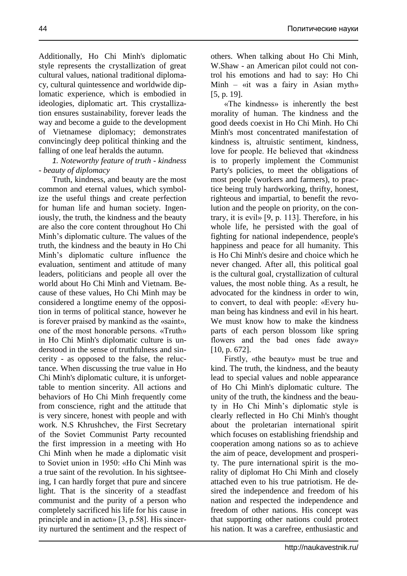Additionally, Ho Chi Minh's diplomatic style represents the crystallization of great cultural values, national traditional diplomacy, cultural quintessence and worldwide diplomatic experience, which is embodied in ideologies, diplomatic art. This crystallization ensures sustainability, forever leads the way and become a guide to the development of Vietnamese diplomacy; demonstrates convincingly deep political thinking and the falling of one leaf heralds the autumn.

### *1. Noteworthy feature of truth - kindness - beauty of diplomacy*

Truth, kindness, and beauty are the most common and eternal values, which symbolize the useful things and create perfection for human life and human society. Ingeniously, the truth, the kindness and the beauty are also the core content throughout Ho Chi Minh's diplomatic culture. The values of the truth, the kindness and the beauty in Ho Chi Minh's diplomatic culture influence the evaluation, sentiment and attitude of many leaders, politicians and people all over the world about Ho Chi Minh and Vietnam. Because of these values, Ho Chi Minh may be considered a longtime enemy of the opposition in terms of political stance, however he is forever praised by mankind as the «saint», one of the most honorable persons. «Truth» in Ho Chi Minh's diplomatic culture is understood in the sense of truthfulness and sincerity - as opposed to the false, the reluctance. When discussing the true value in Ho Chi Minh's diplomatic culture, it is unforgettable to mention sincerity. All actions and behaviors of Ho Chi Minh frequently come from conscience, right and the attitude that is very sincere, honest with people and with work. N.S Khrushchev, the First Secretary of the Soviet Communist Party recounted the first impression in a meeting with Ho Chi Minh when he made a diplomatic visit to Soviet union in 1950: «Ho Chi Minh was a true saint of the revolution. In his sightseeing, I can hardly forget that pure and sincere light. That is the sincerity of a steadfast communist and the purity of a person who completely sacrificed his life for his cause in principle and in action» [3, p.58]. His sincerity nurtured the sentiment and the respect of

others. When talking about Ho Chi Minh, W.Shaw - an American pilot could not control his emotions and had to say: Ho Chi Minh – «it was a fairy in Asian myth» [5, p. 19].

«The kindness» is inherently the best morality of human. The kindness and the good deeds coexist in Ho Chi Minh. Ho Chi Minh's most concentrated manifestation of kindness is, altruistic sentiment, kindness, love for people. He believed that «kindness is to properly implement the Communist Party's policies, to meet the obligations of most people (workers and farmers), to practice being truly hardworking, thrifty, honest, righteous and impartial, to benefit the revolution and the people on priority, on the contrary, it is evil» [9, p. 113]. Therefore, in his whole life, he persisted with the goal of fighting for national independence, people's happiness and peace for all humanity. This is Ho Chi Minh's desire and choice which he never changed. After all, this political goal is the cultural goal, crystallization of cultural values, the most noble thing. As a result, he advocated for the kindness in order to win, to convert, to deal with people: «Every human being has kindness and evil in his heart. We must know how to make the kindness parts of each person blossom like spring flowers and the bad ones fade away» [10, p. 672].

Firstly, «the beauty» must be true and kind. The truth, the kindness, and the beauty lead to special values and noble appearance of Ho Chi Minh's diplomatic culture. The unity of the truth, the kindness and the beauty in Ho Chi Minh's diplomatic style is clearly reflected in Ho Chi Minh's thought about the proletarian international spirit which focuses on establishing friendship and cooperation among nations so as to achieve the aim of peace, development and prosperity. The pure international spirit is the morality of diplomat Ho Chi Minh and closely attached even to his true patriotism. He desired the independence and freedom of his nation and respected the independence and freedom of other nations. His concept was that supporting other nations could protect his nation. It was a carefree, enthusiastic and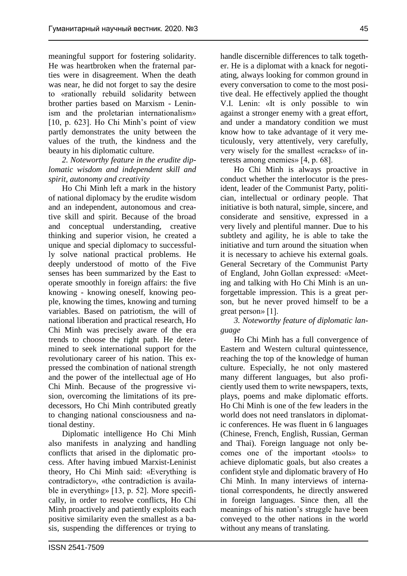meaningful support for fostering solidarity. He was heartbroken when the fraternal parties were in disagreement. When the death was near, he did not forget to say the desire to «rationally rebuild solidarity between brother parties based on Marxism - Leninism and the proletarian internationalism» [10, p. 623]. Ho Chi Minh's point of view partly demonstrates the unity between the values of the truth, the kindness and the beauty in his diplomatic culture.

*2. Noteworthy feature in the erudite diplomatic wisdom and independent skill and spirit, autonomy and creativity*

Ho Chi Minh left a mark in the history of national diplomacy by the erudite wisdom and an independent, autonomous and creative skill and spirit. Because of the broad and conceptual understanding, creative thinking and superior vision, he created a unique and special diplomacy to successfully solve national practical problems. He deeply understood of motto of the Five senses has been summarized by the East to operate smoothly in foreign affairs: the five knowing - knowing oneself, knowing people, knowing the times, knowing and turning variables. Based on patriotism, the will of national liberation and practical research, Ho Chi Minh was precisely aware of the era trends to choose the right path. He determined to seek international support for the revolutionary career of his nation. This expressed the combination of national strength and the power of the intellectual age of Ho Chi Minh. Because of the progressive vision, overcoming the limitations of its predecessors, Ho Chi Minh contributed greatly to changing national consciousness and national destiny.

Diplomatic intelligence Ho Chi Minh also manifests in analyzing and handling conflicts that arised in the diplomatic process. After having imbued Marxist-Leninist theory, Ho Chi Minh said: «Everything is contradictory», «the contradiction is available in everything» [13, p. 52]. More specifically, in order to resolve conflicts, Ho Chi Minh proactively and patiently exploits each positive similarity even the smallest as a basis, suspending the differences or trying to handle discernible differences to talk together. He is a diplomat with a knack for negotiating, always looking for common ground in every conversation to come to the most positive deal. He effectively applied the thought V.I. Lenin: «It is only possible to win against a stronger enemy with a great effort, and under a mandatory condition we must know how to take advantage of it very meticulously, very attentively, very carefully, very wisely for the smallest «cracks» of interests among enemies» [4, p. 68].

Ho Chi Minh is always proactive in conduct whether the interlocutor is the president, leader of the Communist Party, politician, intellectual or ordinary people. That initiative is both natural, simple, sincere, and considerate and sensitive, expressed in a very lively and plentiful manner. Due to his subtlety and agility, he is able to take the initiative and turn around the situation when it is necessary to achieve his external goals. General Secretary of the Communist Party of England, John Gollan expressed: «Meeting and talking with Ho Chi Minh is an unforgettable impression. This is a great person, but he never proved himself to be a great person» [1].

*3. Noteworthy feature of diplomatic language*

Ho Chi Minh has a full convergence of Eastern and Western cultural quintessence, reaching the top of the knowledge of human culture. Especially, he not only mastered many different languages, but also proficiently used them to write newspapers, texts, plays, poems and make diplomatic efforts. Ho Chi Minh is one of the few leaders in the world does not need translators in diplomatic conferences. He was fluent in 6 languages (Chinese, French, English, Russian, German and Thai). Foreign language not only becomes one of the important «tools» to achieve diplomatic goals, but also creates a confident style and diplomatic bravery of Ho Chi Minh. In many interviews of international correspondents, he directly answered in foreign languages. Since then, all the meanings of his nation's struggle have been conveyed to the other nations in the world without any means of translating.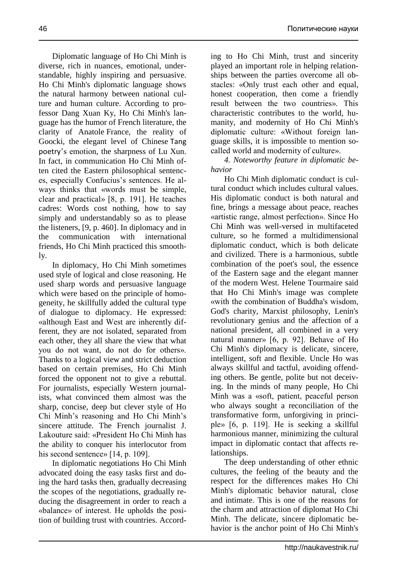Diplomatic language of Ho Chi Minh is diverse, rich in nuances, emotional, understandable, highly inspiring and persuasive. Ho Chi Minh's diplomatic language shows the natural harmony between national culture and human culture. According to professor Dang Xuan Ky, Ho Chi Minh's language has the humor of French literature, the clarity of Anatole France, the reality of Goocki, the elegant level of Chinese Tang poetry's emotion, the sharpness of Lu Xun. In fact, in communication Ho Chi Minh often cited the Eastern philosophical sentences, especially Confucius's sentences. He always thinks that «words must be simple, clear and practical» [8, p. 191]. He teaches cadres: Words cost nothing, how to say simply and understandably so as to please the listeners, [9, p. 460]. In diplomacy and in the communication with international friends, Ho Chi Minh practiced this smoothly.

In diplomacy, Ho Chi Minh sometimes used style of logical and close reasoning. He used sharp words and persuasive language which were based on the principle of homogeneity, he skillfully added the cultural type of dialogue to diplomacy. He expressed: «although East and West are inherently different, they are not isolated, separated from each other, they all share the view that what you do not want, do not do for others». Thanks to a logical view and strict deduction based on certain premises, Ho Chi Minh forced the opponent not to give a rebuttal. For journalists, especially Western journalists, what convinced them almost was the sharp, concise, deep but clever style of Ho Chi Minh's reasoning and Ho Chi Minh's sincere attitude. The French journalist J. Lakouture said: «President Ho Chi Minh has the ability to conquer his interlocutor from his second sentence» [14, p. 109].

In diplomatic negotiations Ho Chi Minh advocated doing the easy tasks first and doing the hard tasks then, gradually decreasing the scopes of the negotiations, gradually reducing the disagreement in order to reach a «balance» of interest. He upholds the position of building trust with countries. According to Ho Chi Minh, trust and sincerity played an important role in helping relationships between the parties overcome all obstacles: «Only trust each other and equal, honest cooperation, then come a friendly result between the two countries». This characteristic contributes to the world, humanity, and modernity of Ho Chi Minh's diplomatic culture: «Without foreign language skills, it is impossible to mention socalled world and modernity of culture».

*4. Noteworthy feature in diplomatic behavior* 

Ho Chi Minh diplomatic conduct is cultural conduct which includes cultural values. His diplomatic conduct is both natural and fine, brings a message about peace, reaches «artistic range, almost perfection». Since Ho Chi Minh was well-versed in multifaceted culture, so he formed a multidimensional diplomatic conduct, which is both delicate and civilized. There is a harmonious, subtle combination of the poet's soul, the essence of the Eastern sage and the elegant manner of the modern West. Helene Tourmaire said that Ho Chi Minh's image was complete «with the combination of Buddha's wisdom, God's charity, Marxist philosophy, Lenin's revolutionary genius and the affection of a national president, all combined in a very natural manner» [6, p. 92]. Behave of Ho Chi Minh's diplomacy is delicate, sincere, intelligent, soft and flexible. Uncle Ho was always skillful and tactful, avoiding offending others. Be gentle, polite but not deceiving. In the minds of many people, Ho Chi Minh was a «soft, patient, peaceful person who always sought a reconciliation of the transformative form, unforgiving in principle» [6, p. 119]. He is seeking a skillful harmonious manner, minimizing the cultural impact in diplomatic contact that affects relationships.

The deep understanding of other ethnic cultures, the feeling of the beauty and the respect for the differences makes Ho Chi Minh's diplomatic behavior natural, close and intimate. This is one of the reasons for the charm and attraction of diplomat Ho Chi Minh. The delicate, sincere diplomatic behavior is the anchor point of Ho Chi Minh's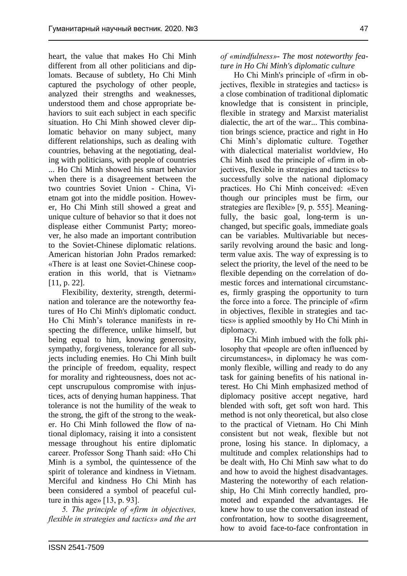heart, the value that makes Ho Chi Minh different from all other politicians and diplomats. Because of subtlety, Ho Chi Minh captured the psychology of other people, analyzed their strengths and weaknesses, understood them and chose appropriate behaviors to suit each subject in each specific situation. Ho Chi Minh showed clever diplomatic behavior on many subject, many different relationships, such as dealing with countries, behaving at the negotiating, dealing with politicians, with people of countries ... Ho Chi Minh showed his smart behavior when there is a disagreement between the two countries Soviet Union - China, Vietnam got into the middle position. However, Ho Chi Minh still showed a great and unique culture of behavior so that it does not displease either Communist Party; moreover, he also made an important contribution to the Soviet-Chinese diplomatic relations. American historian John Prados remarked: «There is at least one Soviet-Chinese cooperation in this world, that is Vietnam» [11, p. 22].

Flexibility, dexterity, strength, determination and tolerance are the noteworthy features of Ho Chi Minh's diplomatic conduct. Ho Chi Minh's tolerance manifests in respecting the difference, unlike himself, but being equal to him, knowing generosity, sympathy, forgiveness, tolerance for all subjects including enemies. Ho Chi Minh built the principle of freedom, equality, respect for morality and righteousness, does not accept unscrupulous compromise with injustices, acts of denying human happiness. That tolerance is not the humility of the weak to the strong, the gift of the strong to the weaker. Ho Chi Minh followed the flow of national diplomacy, raising it into a consistent message throughout his entire diplomatic career. Professor Song Thanh said: «Ho Chi Minh is a symbol, the quintessence of the spirit of tolerance and kindness in Vietnam. Merciful and kindness Ho Chi Minh has been considered a symbol of peaceful culture in this age» [13, p. 93].

*5. The principle of «firm in objectives, flexible in strategies and tactics» and the art*  *of «mindfulness»- The most noteworthy feature in Ho Chi Minh's diplomatic culture*

Ho Chi Minh's principle of «firm in objectives, flexible in strategies and tactics» is a close combination of traditional diplomatic knowledge that is consistent in principle, flexible in strategy and Marxist materialist dialectic, the art of the war... This combination brings science, practice and right in Ho Chi Minh's diplomatic culture. Together with dialectical materialist worldview, Ho Chi Minh used the principle of «firm in objectives, flexible in strategies and tactics» to successfully solve the national diplomacy practices. Ho Chi Minh conceived: «Even though our principles must be firm, our strategies are flexible» [9, p. 555]. Meaningfully, the basic goal, long-term is unchanged, but specific goals, immediate goals can be variables. Multivariable but necessarily revolving around the basic and longterm value axis. The way of expressing is to select the priority, the level of the need to be flexible depending on the correlation of domestic forces and international circumstances, firmly grasping the opportunity to turn the force into a force. The principle of «firm in objectives, flexible in strategies and tactics» is applied smoothly by Ho Chi Minh in diplomacy.

Ho Chi Minh imbued with the folk philosophy that «people are often influenced by circumstances», in diplomacy he was commonly flexible, willing and ready to do any task for gaining benefits of his national interest. Ho Chi Minh emphasized method of diplomacy positive accept negative, hard blended with soft, get soft won hard. This method is not only theoretical, but also close to the practical of Vietnam. Ho Chi Minh consistent but not weak, flexible but not prone, losing his stance. In diplomacy, a multitude and complex relationships had to be dealt with, Ho Chi Minh saw what to do and how to avoid the highest disadvantages. Mastering the noteworthy of each relationship, Ho Chi Minh correctly handled, promoted and expanded the advantages. He knew how to use the conversation instead of confrontation, how to soothe disagreement, how to avoid face-to-face confrontation in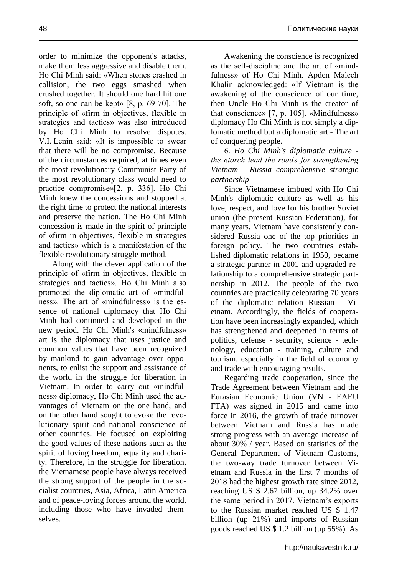order to minimize the opponent's attacks, make them less aggressive and disable them. Ho Chi Minh said: «When stones crashed in collision, the two eggs smashed when crushed together. It should one hard hit one soft, so one can be kept» [8, p. 69-70]. The principle of «firm in objectives, flexible in strategies and tactics» was also introduced by Ho Chi Minh to resolve disputes. V.I. Lenin said: «It is impossible to swear that there will be no compromise. Because of the circumstances required, at times even the most revolutionary Communist Party of the most revolutionary class would need to practice compromise»[2, p. 336]. Ho Chi Minh knew the concessions and stopped at the right time to protect the national interests and preserve the nation. The Ho Chi Minh concession is made in the spirit of principle of «firm in objectives, flexible in strategies and tactics» which is a manifestation of the flexible revolutionary struggle method.

Along with the clever application of the principle of «firm in objectives, flexible in strategies and tactics», Ho Chi Minh also promoted the diplomatic art of «mindfulness». The art of «mindfulness» is the essence of national diplomacy that Ho Chi Minh had continued and developed in the new period. Ho Chi Minh's «mindfulness» art is the diplomacy that uses justice and common values that have been recognized by mankind to gain advantage over opponents, to enlist the support and assistance of the world in the struggle for liberation in Vietnam. In order to carry out «mindfulness» diplomacy, Ho Chi Minh used the advantages of Vietnam on the one hand, and on the other hand sought to evoke the revolutionary spirit and national conscience of other countries. He focused on exploiting the good values of these nations such as the spirit of loving freedom, equality and charity. Therefore, in the struggle for liberation, the Vietnamese people have always received the strong support of the people in the socialist countries, Asia, Africa, Latin America and of peace-loving forces around the world, including those who have invaded themselves.

Awakening the conscience is recognized as the self-discipline and the art of «mindfulness» of Ho Chi Minh. Apden Malech Khalin acknowledged: «If Vietnam is the awakening of the conscience of our time, then Uncle Ho Chi Minh is the creator of that conscience» [7, p. 105]. «Mindfulness» diplomacy Ho Chi Minh is not simply a diplomatic method but a diplomatic art - The art of conquering people.

*6. Ho Chi Minh's diplomatic culture the «torch lead the road» for strengthening Vietnam - Russia comprehensive strategic partnership*

Since Vietnamese imbued with Ho Chi Minh's diplomatic culture as well as his love, respect, and love for his brother Soviet union (the present Russian Federation), for many years, Vietnam have consistently considered Russia one of the top priorities in foreign policy. The two countries established diplomatic relations in 1950, became a strategic partner in 2001 and upgraded relationship to a comprehensive strategic partnership in 2012. The people of the two countries are practically celebrating 70 years of the diplomatic relation Russian - Vietnam. Accordingly, the fields of cooperation have been increasingly expanded, which has strengthened and deepened in terms of politics, defense - security, science - technology, education - training, culture and tourism, especially in the field of economy and trade with encouraging results.

Regarding trade cooperation, since the Trade Agreement between Vietnam and the Eurasian Economic Union (VN - EAEU FTA) was signed in 2015 and came into force in 2016, the growth of trade turnover between Vietnam and Russia has made strong progress with an average increase of about 30% / year. Based on statistics of the General Department of Vietnam Customs, the two-way trade turnover between Vietnam and Russia in the first 7 months of 2018 had the highest growth rate since 2012, reaching US \$ 2.67 billion, up 34.2% over the same period in 2017. Vietnam's exports to the Russian market reached US \$ 1.47 billion (up 21%) and imports of Russian goods reached US \$ 1.2 billion (up 55%). As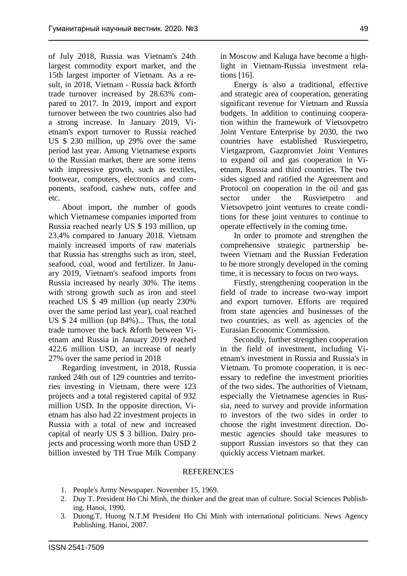of July 2018, Russia was Vietnam's 24th largest commodity export market, and the 15th largest importer of Vietnam. As a result, in 2018, Vietnam - Russia back &forth trade turnover increased by 28.63% compared to 2017. In 2019, import and export turnover between the two countries also had a strong increase. In January 2019, Vietnam's export turnover to Russia reached US \$ 230 million, up 29% over the same period last year. Among Vietnamese exports to the Russian market, there are some items with impressive growth, such as textiles, footwear, computers, electronics and components, seafood, cashew nuts, coffee and etc.

About import, the number of goods which Vietnamese companies imported from Russia reached nearly US \$ 193 million, up 23.4% compared to January 2018. Vietnam mainly increased imports of raw materials that Russia has strengths such as iron, steel, seafood, coal, wood and fertilizer. In January 2019, Vietnam's seafood imports from Russia increased by nearly 30%. The items with strong growth such as iron and steel reached US \$ 49 million (up nearly 230% over the same period last year), coal reached US \$ 24 million (up 84%)... Thus, the total trade turnover the back &forth between Vietnam and Russia in January 2019 reached 422.6 million USD, an increase of nearly 27% over the same period in 2018

Regarding investment, in 2018, Russia ranked 24th out of 129 countries and territories investing in Vietnam, there were 123 projects and a total registered capital of 932 million USD. In the opposite direction, Vietnam has also had 22 investment projects in Russia with a total of new and increased capital of nearly US \$ 3 billion. Dairy projects and processing worth more than USD 2 billion invested by TH True Milk Company in Moscow and Kaluga have become a highlight in Vietnam-Russia investment relations [16].

Energy is also a traditional, effective and strategic area of cooperation, generating significant revenue for Vietnam and Russia budgets. In addition to continuing cooperation within the framework of Vietsovpetro Joint Venture Enterprise by 2030, the two countries have established Rusvietpetro, Vietgazprom, Gazpromviet Joint Ventures to expand oil and gas cooperation in Vietnam, Russia and third countries. The two sides signed and ratified the Agreement and Protocol on cooperation in the oil and gas sector under the Rusvietpetro and Vietsovpetro joint ventures to create conditions for these joint ventures to continue to operate effectively in the coming time.

In order to promote and strengthen the comprehensive strategic partnership between Vietnam and the Russian Federation to be more strongly developed in the coming time, it is necessary to focus on two ways.

Firstly, strengthening cooperation in the field of trade to increase two-way import and export turnover. Efforts are required from state agencies and businesses of the two countries, as well as agencies of the Eurasian Economic Commission.

Secondly, further strengthen cooperation in the field of investment, including Vietnam's investment in Russia and Russia's in Vietnam. To promote cooperation, it is necessary to redefine the investment priorities of the two sides. The authorities of Vietnam, especially the Vietnamese agencies in Russia, need to survey and provide information to investors of the two sides in order to choose the right investment direction. Domestic agencies should take measures to support Russian investors so that they can quickly access Vietnam market.

#### REFERENCES

- 1. People's Army Newspaper. November 15, 1969.
- 2. Duy T. President Ho Chi Minh, the thinker and the great man of culture. Social Sciences Publishing. Hanoi, 1990.
- 3. Duong.T, Huong N.T.M President Ho Chi Minh with international politicians. News Agency Publishing. Hanoi, 2007.